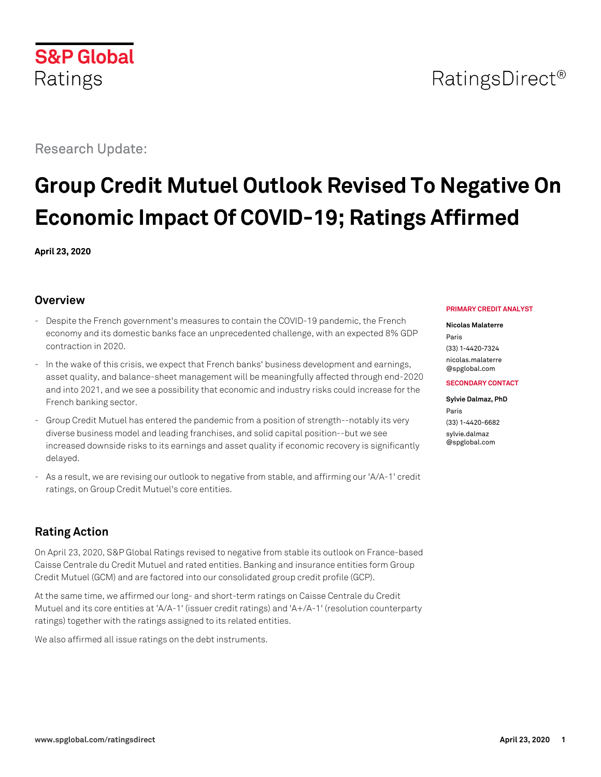# **S&P Global**

# Research Update:

Ratings

# **Group Credit Mutuel Outlook Revised To Negative On Economic Impact Of COVID-19; Ratings Affirmed**

**April 23, 2020**

### **Overview**

- Despite the French government's measures to contain the COVID-19 pandemic, the French economy and its domestic banks face an unprecedented challenge, with an expected 8% GDP contraction in 2020.
- In the wake of this crisis, we expect that French banks' business development and earnings, asset quality, and balance-sheet management will be meaningfully affected through end-2020 and into 2021, and we see a possibility that economic and industry risks could increase for the French banking sector.
- Group Credit Mutuel has entered the pandemic from a position of strength--notably its very diverse business model and leading franchises, and solid capital position--but we see increased downside risks to its earnings and asset quality if economic recovery is significantly delayed.
- As a result, we are revising our outlook to negative from stable, and affirming our 'A/A-1' credit ratings, on Group Credit Mutuel's core entities.

# **Rating Action**

On April 23, 2020, S&P Global Ratings revised to negative from stable its outlook on France-based Caisse Centrale du Credit Mutuel and rated entities. Banking and insurance entities form Group Credit Mutuel (GCM) and are factored into our consolidated group credit profile (GCP).

At the same time, we affirmed our long- and short-term ratings on Caisse Centrale du Credit Mutuel and its core entities at 'A/A-1' (issuer credit ratings) and 'A+/A-1' (resolution counterparty ratings) together with the ratings assigned to its related entities.

We also affirmed all issue ratings on the debt instruments.

#### **PRIMARY CREDIT ANALYST**

#### **Nicolas Malaterre**

Paris (33) 1-4420-7324 [nicolas.malaterre](mailto:nicolas.malaterre@spglobal.com) [@spglobal.com](mailto:nicolas.malaterre@spglobal.com)

#### **SECONDARY CONTACT**

#### **Sylvie Dalmaz, PhD** Paris (33) 1-4420-6682 [sylvie.dalmaz](mailto:sylvie.dalmaz@spglobal.com) [@spglobal.com](mailto:sylvie.dalmaz@spglobal.com)

# RatingsDirect<sup>®</sup>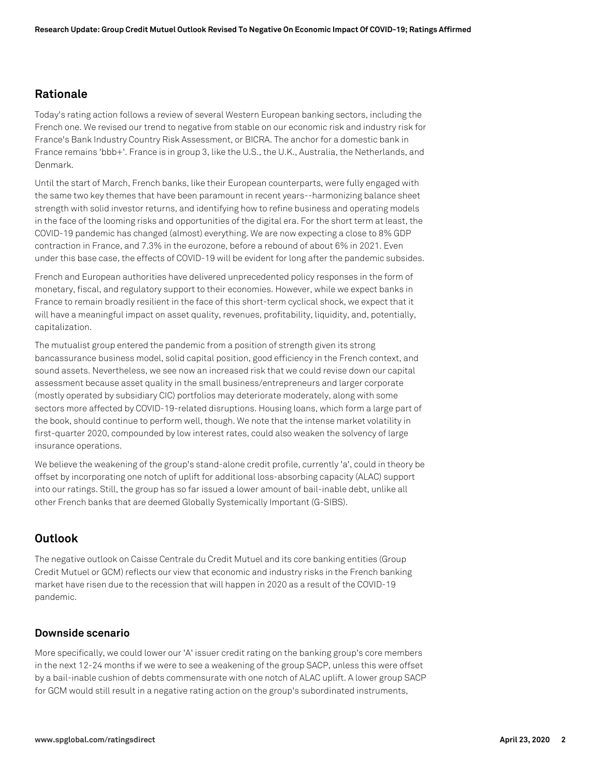### **Rationale**

Today's rating action follows a review of several Western European banking sectors, including the French one. We revised our trend to negative from stable on our economic risk and industry risk for France's Bank Industry Country Risk Assessment, or BICRA. The anchor for a domestic bank in France remains 'bbb+'. France is in group 3, like the U.S., the U.K., Australia, the Netherlands, and Denmark.

Until the start of March, French banks, like their European counterparts, were fully engaged with the same two key themes that have been paramount in recent years--harmonizing balance sheet strength with solid investor returns, and identifying how to refine business and operating models in the face of the looming risks and opportunities of the digital era. For the short term at least, the COVID-19 pandemic has changed (almost) everything. We are now expecting a close to 8% GDP contraction in France, and 7.3% in the eurozone, before a rebound of about 6% in 2021. Even under this base case, the effects of COVID-19 will be evident for long after the pandemic subsides.

French and European authorities have delivered unprecedented policy responses in the form of monetary, fiscal, and regulatory support to their economies. However, while we expect banks in France to remain broadly resilient in the face of this short-term cyclical shock, we expect that it will have a meaningful impact on asset quality, revenues, profitability, liquidity, and, potentially, capitalization.

The mutualist group entered the pandemic from a position of strength given its strong bancassurance business model, solid capital position, good efficiency in the French context, and sound assets. Nevertheless, we see now an increased risk that we could revise down our capital assessment because asset quality in the small business/entrepreneurs and larger corporate (mostly operated by subsidiary CIC) portfolios may deteriorate moderately, along with some sectors more affected by COVID-19-related disruptions. Housing loans, which form a large part of the book, should continue to perform well, though. We note that the intense market volatility in first-quarter 2020, compounded by low interest rates, could also weaken the solvency of large insurance operations.

We believe the weakening of the group's stand-alone credit profile, currently 'a', could in theory be offset by incorporating one notch of uplift for additional loss-absorbing capacity (ALAC) support into our ratings. Still, the group has so far issued a lower amount of bail-inable debt, unlike all other French banks that are deemed Globally Systemically Important (G-SIBS).

## **Outlook**

The negative outlook on Caisse Centrale du Credit Mutuel and its core banking entities (Group Credit Mutuel or GCM) reflects our view that economic and industry risks in the French banking market have risen due to the recession that will happen in 2020 as a result of the COVID-19 pandemic.

#### **Downside scenario**

More specifically, we could lower our 'A' issuer credit rating on the banking group's core members in the next 12-24 months if we were to see a weakening of the group SACP, unless this were offset by a bail-inable cushion of debts commensurate with one notch of ALAC uplift. A lower group SACP for GCM would still result in a negative rating action on the group's subordinated instruments,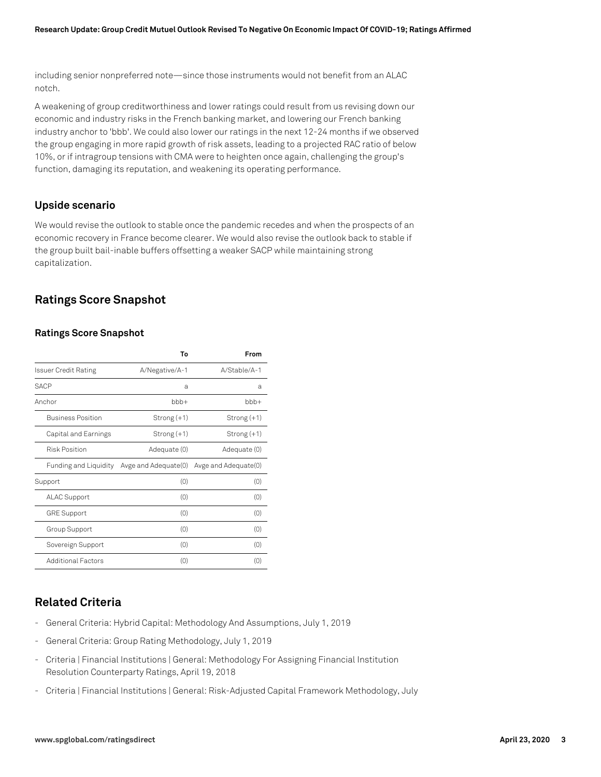including senior nonpreferred note—since those instruments would not benefit from an ALAC notch.

A weakening of group creditworthiness and lower ratings could result from us revising down our economic and industry risks in the French banking market, and lowering our French banking industry anchor to 'bbb'. We could also lower our ratings in the next 12-24 months if we observed the group engaging in more rapid growth of risk assets, leading to a projected RAC ratio of below 10%, or if intragroup tensions with CMA were to heighten once again, challenging the group's function, damaging its reputation, and weakening its operating performance.

#### **Upside scenario**

We would revise the outlook to stable once the pandemic recedes and when the prospects of an economic recovery in France become clearer. We would also revise the outlook back to stable if the group built bail-inable buffers offsetting a weaker SACP while maintaining strong capitalization.

## **Ratings Score Snapshot**

#### **Ratings Score Snapshot**

|                              | Т٥                   | From                 |
|------------------------------|----------------------|----------------------|
| <b>Issuer Credit Rating</b>  | A/Negative/A-1       | A/Stable/A-1         |
| <b>SACP</b>                  | a                    | a                    |
| Anchor                       | $bbb +$              | bbb+                 |
| <b>Business Position</b>     | $Strong(+1)$         | Strong (+1)          |
| Capital and Earnings         | $Strong(+1)$         | Strong (+1)          |
| <b>Risk Position</b>         | Adequate (0)         | Adequate (0)         |
| <b>Funding and Liquidity</b> | Avge and Adequate(0) | Avge and Adequate(0) |
| Support                      | (0)                  | (0)                  |
| <b>ALAC Support</b>          | (0)                  | (0)                  |
| <b>GRE Support</b>           | (0)                  | (0)                  |
| Group Support                | (0)                  | (0)                  |
| Sovereign Support            | (0)                  | (0)                  |
| <b>Additional Factors</b>    | (0)                  | (0)                  |

# **Related Criteria**

- General Criteria: Hybrid Capital: Methodology And Assumptions, July 1, 2019
- General Criteria: Group Rating Methodology, July 1, 2019
- Criteria | Financial Institutions | General: Methodology For Assigning Financial Institution Resolution Counterparty Ratings, April 19, 2018
- Criteria | Financial Institutions | General: Risk-Adjusted Capital Framework Methodology, July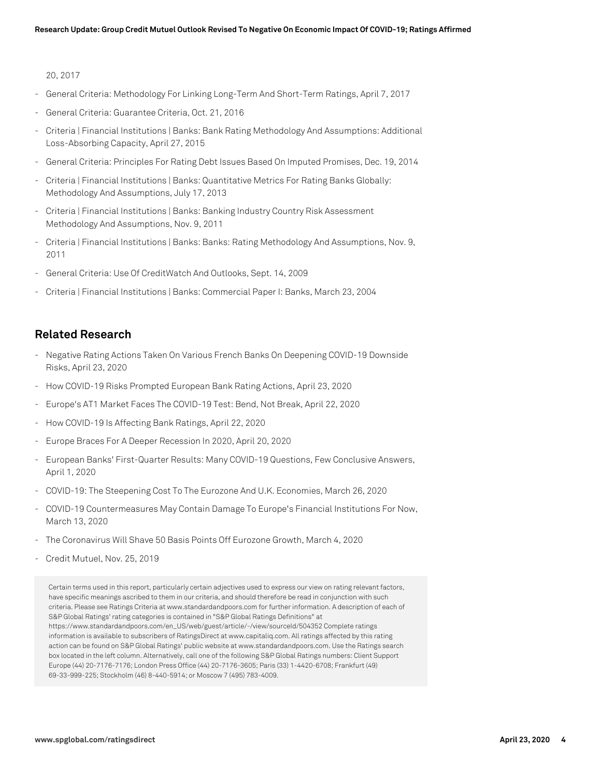#### 20, 2017

- General Criteria: Methodology For Linking Long-Term And Short-Term Ratings, April 7, 2017
- General Criteria: Guarantee Criteria, Oct. 21, 2016
- Criteria | Financial Institutions | Banks: Bank Rating Methodology And Assumptions: Additional Loss-Absorbing Capacity, April 27, 2015
- General Criteria: Principles For Rating Debt Issues Based On Imputed Promises, Dec. 19, 2014
- Criteria | Financial Institutions | Banks: Quantitative Metrics For Rating Banks Globally: Methodology And Assumptions, July 17, 2013
- Criteria | Financial Institutions | Banks: Banking Industry Country Risk Assessment Methodology And Assumptions, Nov. 9, 2011
- Criteria | Financial Institutions | Banks: Banks: Rating Methodology And Assumptions, Nov. 9, 2011
- General Criteria: Use Of CreditWatch And Outlooks, Sept. 14, 2009
- Criteria | Financial Institutions | Banks: Commercial Paper I: Banks, March 23, 2004

#### **Related Research**

- Negative Rating Actions Taken On Various French Banks On Deepening COVID-19 Downside Risks, April 23, 2020
- How COVID-19 Risks Prompted European Bank Rating Actions, April 23, 2020
- Europe's AT1 Market Faces The COVID-19 Test: Bend, Not Break, April 22, 2020
- How COVID-19 Is Affecting Bank Ratings, April 22, 2020
- Europe Braces For A Deeper Recession In 2020, April 20, 2020
- European Banks' First-Quarter Results: Many COVID-19 Questions, Few Conclusive Answers, April 1, 2020
- COVID-19: The Steepening Cost To The Eurozone And U.K. Economies, March 26, 2020
- COVID-19 Countermeasures May Contain Damage To Europe's Financial Institutions For Now, March 13, 2020
- The Coronavirus Will Shave 50 Basis Points Off Eurozone Growth, March 4, 2020
- Credit Mutuel, Nov. 25, 2019

Certain terms used in this report, particularly certain adjectives used to express our view on rating relevant factors, have specific meanings ascribed to them in our criteria, and should therefore be read in conjunction with such criteria. Please see Ratings Criteria at www.standardandpoors.com for further information. A description of each of S&P Global Ratings' rating categories is contained in "S&P Global Ratings Definitions" at https://www.standardandpoors.com/en\_US/web/guest/article/-/view/sourceId/504352 Complete ratings information is available to subscribers of RatingsDirect at www.capitaliq.com. All ratings affected by this rating action can be found on S&P Global Ratings' public website at www.standardandpoors.com. Use the Ratings search box located in the left column. Alternatively, call one of the following S&P Global Ratings numbers: Client Support Europe (44) 20-7176-7176; London Press Office (44) 20-7176-3605; Paris (33) 1-4420-6708; Frankfurt (49) 69-33-999-225; Stockholm (46) 8-440-5914; or Moscow 7 (495) 783-4009.